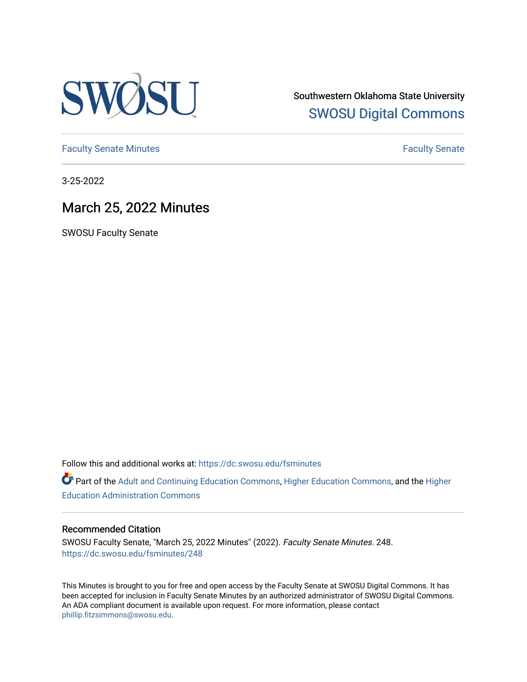

Southwestern Oklahoma State University [SWOSU Digital Commons](https://dc.swosu.edu/) 

[Faculty Senate Minutes](https://dc.swosu.edu/fsminutes) **Faculty** Senate Minutes

3-25-2022

## March 25, 2022 Minutes

SWOSU Faculty Senate

Follow this and additional works at: [https://dc.swosu.edu/fsminutes](https://dc.swosu.edu/fsminutes?utm_source=dc.swosu.edu%2Ffsminutes%2F248&utm_medium=PDF&utm_campaign=PDFCoverPages) 

Part of the [Adult and Continuing Education Commons,](http://network.bepress.com/hgg/discipline/1375?utm_source=dc.swosu.edu%2Ffsminutes%2F248&utm_medium=PDF&utm_campaign=PDFCoverPages) [Higher Education Commons,](http://network.bepress.com/hgg/discipline/1245?utm_source=dc.swosu.edu%2Ffsminutes%2F248&utm_medium=PDF&utm_campaign=PDFCoverPages) and the [Higher](http://network.bepress.com/hgg/discipline/791?utm_source=dc.swosu.edu%2Ffsminutes%2F248&utm_medium=PDF&utm_campaign=PDFCoverPages) [Education Administration Commons](http://network.bepress.com/hgg/discipline/791?utm_source=dc.swosu.edu%2Ffsminutes%2F248&utm_medium=PDF&utm_campaign=PDFCoverPages) 

#### Recommended Citation

SWOSU Faculty Senate, "March 25, 2022 Minutes" (2022). Faculty Senate Minutes. 248. [https://dc.swosu.edu/fsminutes/248](https://dc.swosu.edu/fsminutes/248?utm_source=dc.swosu.edu%2Ffsminutes%2F248&utm_medium=PDF&utm_campaign=PDFCoverPages) 

This Minutes is brought to you for free and open access by the Faculty Senate at SWOSU Digital Commons. It has been accepted for inclusion in Faculty Senate Minutes by an authorized administrator of SWOSU Digital Commons. An ADA compliant document is available upon request. For more information, please contact [phillip.fitzsimmons@swosu.edu](mailto:phillip.fitzsimmons@swosu.edu).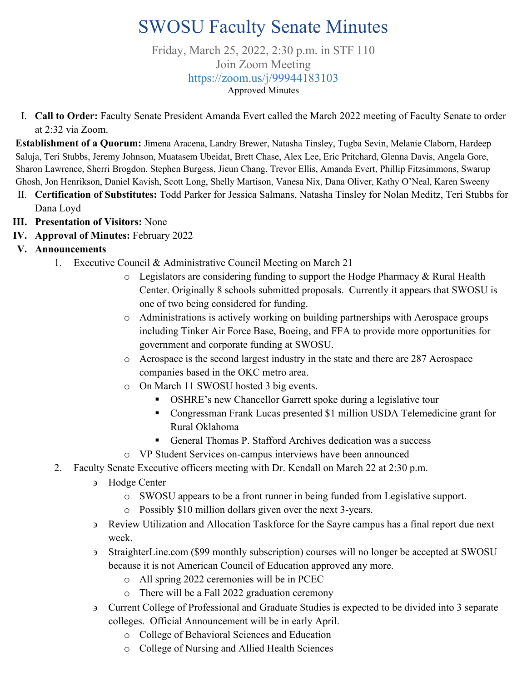# SWOSU Faculty Senate Minutes

Friday, March 25, 2022, 2:30 p.m. in STF 110 Join Zoom Meeting <https://zoom.us/j/99944183103> Approved Minutes

I. **Call to Order:** Faculty Senate President Amanda Evert called the March 2022 meeting of Faculty Senate to order at 2:32 via Zoom.

**Establishment of a Quorum:** Jimena Aracena, Landry Brewer, Natasha Tinsley, Tugba Sevin, Melanie Claborn, Hardeep Saluja, Teri Stubbs, Jeremy Johnson, Muatasem Ubeidat, Brett Chase, Alex Lee, Eric Pritchard, Glenna Davis, Angela Gore, Sharon Lawrence, Sherri Brogdon, Stephen Burgess, Jieun Chang, Trevor Ellis, Amanda Evert, Phillip Fitzsimmons, Swarup Ghosh, Jon Henrikson, Daniel Kavish, Scott Long, Shelly Martison, Vanesa Nix, Dana Oliver, Kathy O'Neal, Karen Sweeny

- II. **Certification of Substitutes:** Todd Parker for Jessica Salmans, Natasha Tinsley for Nolan Meditz, Teri Stubbs for Dana Loyd
- **III. Presentation of Visitors:** None
- **IV. Approval of Minutes:** February 2022
- **V. Announcements**
	- 1. Executive Council & Administrative Council Meeting on March 21
		- o Legislators are considering funding to support the Hodge Pharmacy & Rural Health Center. Originally 8 schools submitted proposals. Currently it appears that SWOSU is one of two being considered for funding.
		- o Administrations is actively working on building partnerships with Aerospace groups including Tinker Air Force Base, Boeing, and FFA to provide more opportunities for government and corporate funding at SWOSU.
		- o Aerospace is the second largest industry in the state and there are 287 Aerospace companies based in the OKC metro area.
		- o On March 11 SWOSU hosted 3 big events.
			- **DIFILM**: OSHRE's new Chancellor Garrett spoke during a legislative tour
			- Congressman Frank Lucas presented \$1 million USDA Telemedicine grant for Rural Oklahoma
			- General Thomas P. Stafford Archives dedication was a success
		- o VP Student Services on-campus interviews have been announced
	- 2. Faculty Senate Executive officers meeting with Dr. Kendall on March 22 at 2:30 p.m.
		- ∋ Hodge Center
			- o SWOSU appears to be a front runner in being funded from Legislative support.
			- o Possibly \$10 million dollars given over the next 3-years.
		- ∋ Review Utilization and Allocation Taskforce for the Sayre campus has a final report due next week.
		- ∋ StraighterLine.com (\$99 monthly subscription) courses will no longer be accepted at SWOSU because it is not American Council of Education approved any more.
			- o All spring 2022 ceremonies will be in PCEC
			- o There will be a Fall 2022 graduation ceremony
		- ∋ Current College of Professional and Graduate Studies is expected to be divided into 3 separate colleges. Official Announcement will be in early April.
			- o College of Behavioral Sciences and Education
			- o College of Nursing and Allied Health Sciences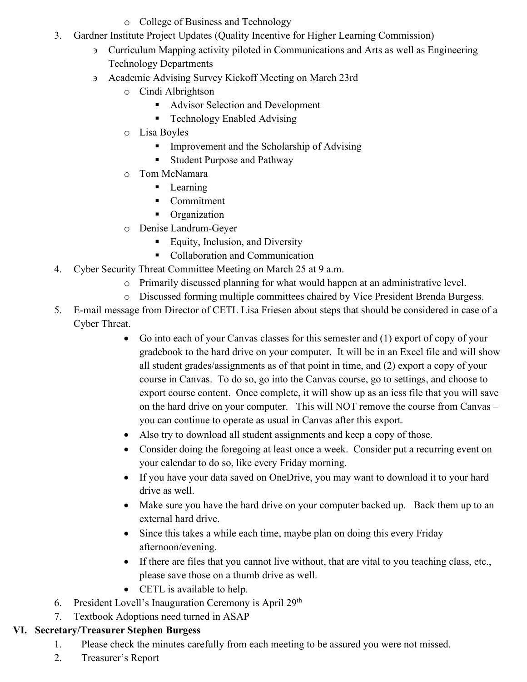- o College of Business and Technology
- 3. Gardner Institute Project Updates (Quality Incentive for Higher Learning Commission)
	- ∋ Curriculum Mapping activity piloted in Communications and Arts as well as Engineering Technology Departments
	- ∋ Academic Advising Survey Kickoff Meeting on March 23rd
		- o Cindi Albrightson
			- Advisor Selection and Development
			- Technology Enabled Advising
		- o Lisa Boyles
			- **IMPROVEMENT** Improvement and the Scholarship of Advising
			- Student Purpose and Pathway
		- o Tom McNamara
			- **Learning**
			- Commitment
			- **•** Organization
		- o Denise Landrum-Geyer
			- Equity, Inclusion, and Diversity
			- Collaboration and Communication
- 4. Cyber Security Threat Committee Meeting on March 25 at 9 a.m.
	- o Primarily discussed planning for what would happen at an administrative level.
	- o Discussed forming multiple committees chaired by Vice President Brenda Burgess.
- 5. E-mail message from Director of CETL Lisa Friesen about steps that should be considered in case of a Cyber Threat.
	- Go into each of your Canvas classes for this semester and (1) export of copy of your gradebook to the hard drive on your computer. It will be in an Excel file and will show all student grades/assignments as of that point in time, and (2) export a copy of your course in Canvas. To do so, go into the Canvas course, go to settings, and choose to export course content. Once complete, it will show up as an icss file that you will save on the hard drive on your computer. This will NOT remove the course from Canvas – you can continue to operate as usual in Canvas after this export.
	- Also try to download all student assignments and keep a copy of those.
	- Consider doing the foregoing at least once a week. Consider put a recurring event on your calendar to do so, like every Friday morning.
	- If you have your data saved on OneDrive, you may want to download it to your hard drive as well.
	- Make sure you have the hard drive on your computer backed up. Back them up to an external hard drive.
	- Since this takes a while each time, maybe plan on doing this every Friday afternoon/evening.
	- If there are files that you cannot live without, that are vital to you teaching class, etc., please save those on a thumb drive as well.
	- CETL is available to help.
- 6. President Lovell's Inauguration Ceremony is April  $29<sup>th</sup>$
- 7. Textbook Adoptions need turned in ASAP

# **VI. Secretary/Treasurer Stephen Burgess**

- 1. Please check the minutes carefully from each meeting to be assured you were not missed.
- 2. Treasurer's Report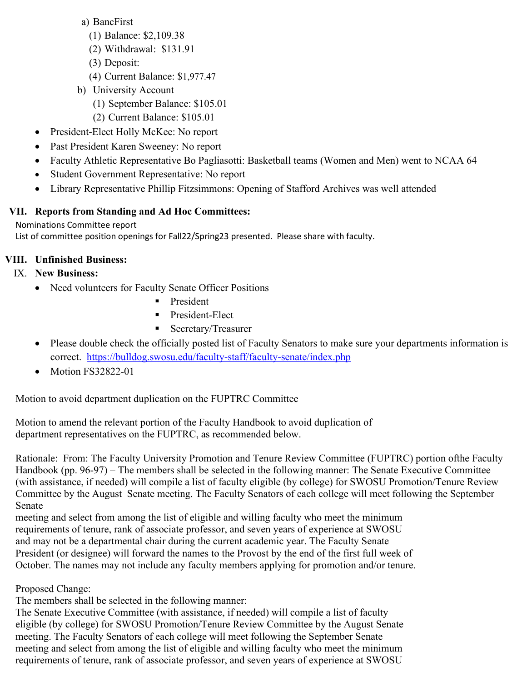- a) BancFirst
	- (1) Balance: \$2,109.38
	- (2) Withdrawal: \$131.91
	- (3) Deposit:
	- (4) Current Balance: \$1,977.47
- b) University Account
	- (1) September Balance: \$105.01
	- (2) Current Balance: \$105.01
- President-Elect Holly McKee: No report
- Past President Karen Sweeney: No report
- Faculty Athletic Representative Bo Pagliasotti: Basketball teams (Women and Men) went to NCAA 64
- Student Government Representative: No report
- Library Representative Phillip Fitzsimmons: Opening of Stafford Archives was well attended

### **VII. Reports from Standing and Ad Hoc Committees:**

#### Nominations Committee report

List of committee position openings for Fall22/Spring23 presented. Please share with faculty.

### **VIII. Unfinished Business:**

- IX. **New Business:** 
	- Need volunteers for Faculty Senate Officer Positions
		- **President**
		- **President-Elect**
		- Secretary/Treasurer
	- Please double check the officially posted list of Faculty Senators to make sure your departments information is correct. <https://bulldog.swosu.edu/faculty-staff/faculty-senate/index.php>
	- Motion FS32822-01

Motion to avoid department duplication on the FUPTRC Committee

Motion to amend the relevant portion of the Faculty Handbook to avoid duplication of department representatives on the FUPTRC, as recommended below.

Rationale: From: The Faculty University Promotion and Tenure Review Committee (FUPTRC) portion ofthe Faculty Handbook (pp. 96-97) – The members shall be selected in the following manner: The Senate Executive Committee (with assistance, if needed) will compile a list of faculty eligible (by college) for SWOSU Promotion/Tenure Review Committee by the August Senate meeting. The Faculty Senators of each college will meet following the September Senate

meeting and select from among the list of eligible and willing faculty who meet the minimum requirements of tenure, rank of associate professor, and seven years of experience at SWOSU and may not be a departmental chair during the current academic year. The Faculty Senate President (or designee) will forward the names to the Provost by the end of the first full week of October. The names may not include any faculty members applying for promotion and/or tenure.

### Proposed Change:

The members shall be selected in the following manner:

The Senate Executive Committee (with assistance, if needed) will compile a list of faculty eligible (by college) for SWOSU Promotion/Tenure Review Committee by the August Senate meeting. The Faculty Senators of each college will meet following the September Senate meeting and select from among the list of eligible and willing faculty who meet the minimum requirements of tenure, rank of associate professor, and seven years of experience at SWOSU